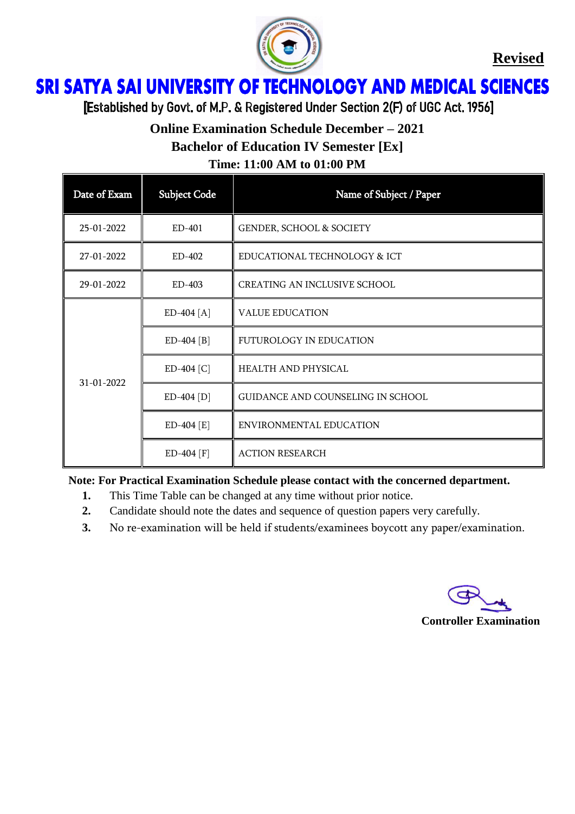

**Revised**

## ì Ï

[Established by Govt. of M.P. & Registered Under Section 2(F) of UGC Act. 1956]

# **Online Examination Schedule December – 2021**

**Bachelor of Education IV Semester [Ex]**

**Time: 11:00 AM to 01:00 PM**

| Date of Exam | <b>Subject Code</b> | Name of Subject / Paper             |
|--------------|---------------------|-------------------------------------|
| 25-01-2022   | ED-401              | <b>GENDER, SCHOOL &amp; SOCIETY</b> |
| 27-01-2022   | ED-402              | EDUCATIONAL TECHNOLOGY & ICT        |
| 29-01-2022   | ED-403              | <b>CREATING AN INCLUSIVE SCHOOL</b> |
| 31-01-2022   | $ED-404 [A]$        | <b>VALUE EDUCATION</b>              |
|              | $ED-404 [B]$        | FUTUROLOGY IN EDUCATION             |
|              | ED-404 [C]          | HEALTH AND PHYSICAL                 |
|              | $ED-404[D]$         | GUIDANCE AND COUNSELING IN SCHOOL   |
|              | $ED-404 [E]$        | ENVIRONMENTAL EDUCATION             |
|              | ED-404 [F]          | <b>ACTION RESEARCH</b>              |

**Note: For Practical Examination Schedule please contact with the concerned department.**

- **1.** This Time Table can be changed at any time without prior notice.
- **2.** Candidate should note the dates and sequence of question papers very carefully.
- **3.** No re-examination will be held if students/examinees boycott any paper/examination.

#### **Controller Examination**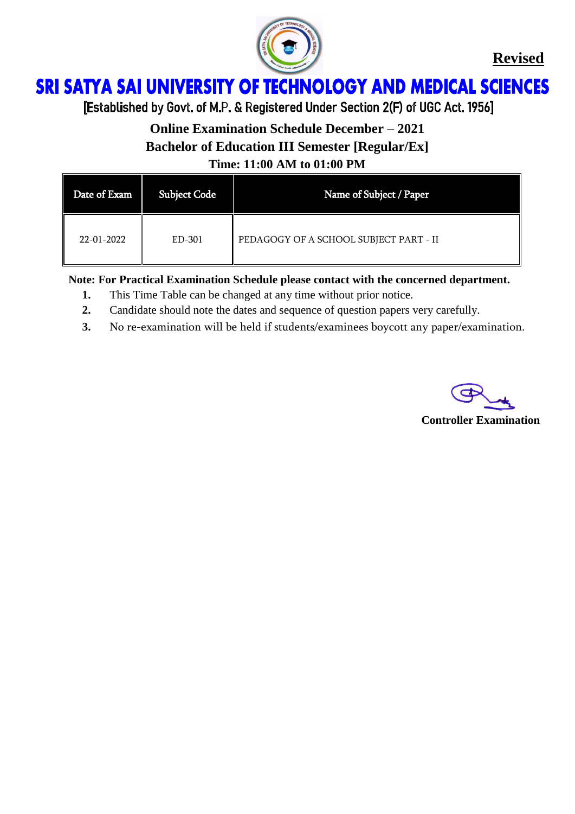

**Revised**

## **SRI SATYA SAI UNIVERSITY OF TECHNOLOGY AND MEDICAL SCIENCES** Ï

[Established by Govt. of M.P. & Registered Under Section 2(F) of UGC Act. 1956]

**Online Examination Schedule December – 2021 Bachelor of Education III Semester [Regular/Ex] Time: 11:00 AM to 01:00 PM**

| Date of Exam | <b>Subject Code</b> | Name of Subject / Paper                |
|--------------|---------------------|----------------------------------------|
| 22-01-2022   | ED-301              | PEDAGOGY OF A SCHOOL SUBJECT PART - II |

**Note: For Practical Examination Schedule please contact with the concerned department.**

- **1.** This Time Table can be changed at any time without prior notice.
- **2.** Candidate should note the dates and sequence of question papers very carefully.
- **3.** No re-examination will be held if students/examinees boycott any paper/examination.

**Controller Examination**